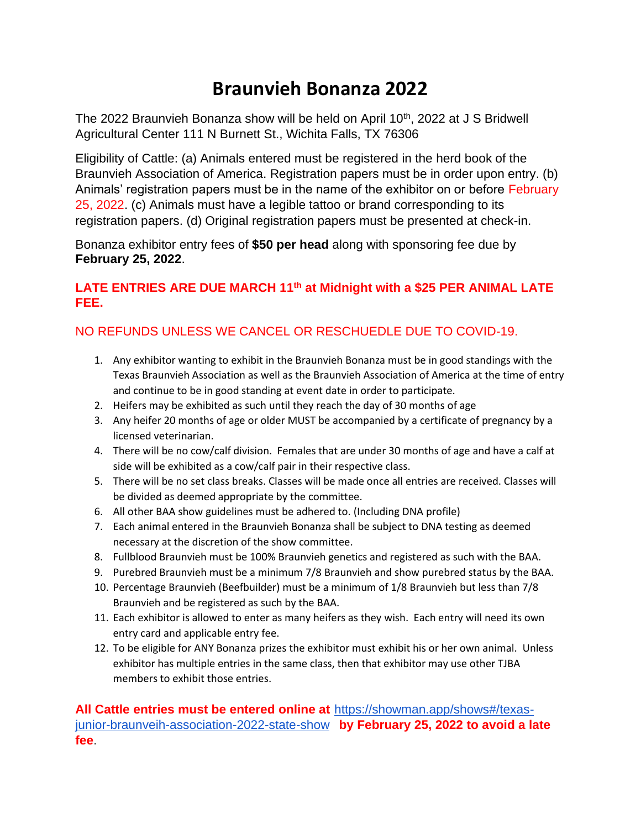# **Braunvieh Bonanza 2022**

The 2022 Braunvieh Bonanza show will be held on April  $10<sup>th</sup>$ , 2022 at J S Bridwell Agricultural Center 111 N Burnett St., Wichita Falls, TX 76306

Eligibility of Cattle: (a) Animals entered must be registered in the herd book of the Braunvieh Association of America. Registration papers must be in order upon entry. (b) Animals' registration papers must be in the name of the exhibitor on or before February 25, 2022. (c) Animals must have a legible tattoo or brand corresponding to its registration papers. (d) Original registration papers must be presented at check-in.

Bonanza exhibitor entry fees of **\$50 per head** along with sponsoring fee due by **February 25, 2022**.

### **LATE ENTRIES ARE DUE MARCH 11th at Midnight with a \$25 PER ANIMAL LATE FEE.**

## NO REFUNDS UNLESS WE CANCEL OR RESCHUEDLE DUE TO COVID-19.

- 1. Any exhibitor wanting to exhibit in the Braunvieh Bonanza must be in good standings with the Texas Braunvieh Association as well as the Braunvieh Association of America at the time of entry and continue to be in good standing at event date in order to participate.
- 2. Heifers may be exhibited as such until they reach the day of 30 months of age
- 3. Any heifer 20 months of age or older MUST be accompanied by a certificate of pregnancy by a licensed veterinarian.
- 4. There will be no cow/calf division. Females that are under 30 months of age and have a calf at side will be exhibited as a cow/calf pair in their respective class.
- 5. There will be no set class breaks. Classes will be made once all entries are received. Classes will be divided as deemed appropriate by the committee.
- 6. All other BAA show guidelines must be adhered to. (Including DNA profile)
- 7. Each animal entered in the Braunvieh Bonanza shall be subject to DNA testing as deemed necessary at the discretion of the show committee.
- 8. Fullblood Braunvieh must be 100% Braunvieh genetics and registered as such with the BAA.
- 9. Purebred Braunvieh must be a minimum 7/8 Braunvieh and show purebred status by the BAA.
- 10. Percentage Braunvieh (Beefbuilder) must be a minimum of 1/8 Braunvieh but less than 7/8 Braunvieh and be registered as such by the BAA.
- 11. Each exhibitor is allowed to enter as many heifers as they wish. Each entry will need its own entry card and applicable entry fee.
- 12. To be eligible for ANY Bonanza prizes the exhibitor must exhibit his or her own animal. Unless exhibitor has multiple entries in the same class, then that exhibitor may use other TJBA members to exhibit those entries.

**All Cattle entries must be entered online at** [https://showman.app/shows#/texas](https://showman.app/shows#/texas-junior-braunveih-association-2022-state-show)[junior-braunveih-association-2022-state-show](https://showman.app/shows#/texas-junior-braunveih-association-2022-state-show) **by February 25, 2022 to avoid a late fee**.